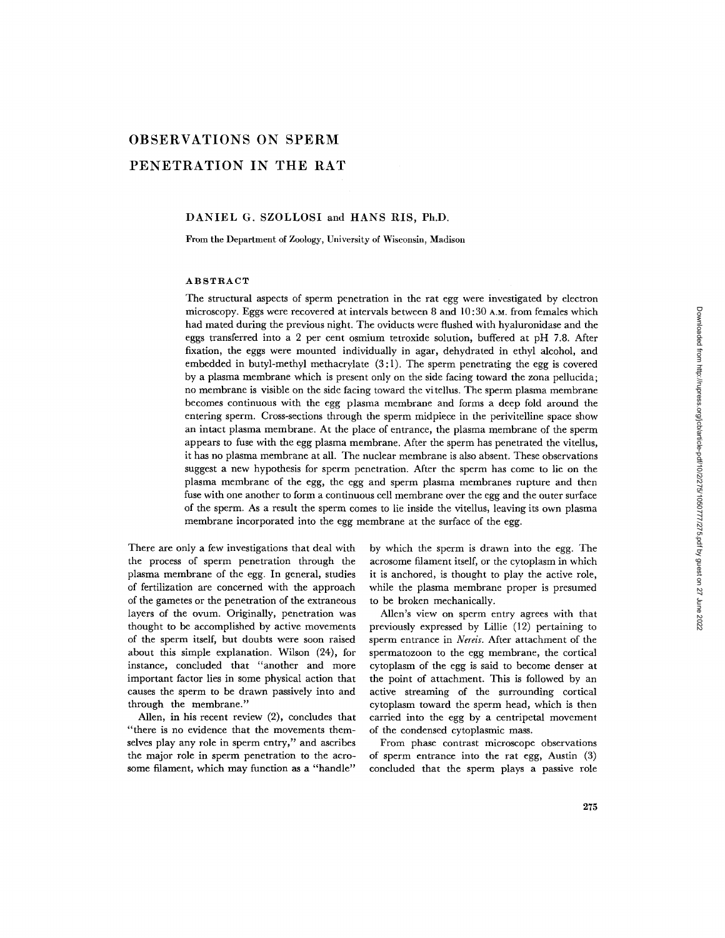# **OBSERVATIONS ON SPERM PENETRATION IN THE RAT**

# DANIEL G. SZOLLOSI and HANS RIS, Ph.D.

From the Department of Zoology, University of Wisconsin, Madison

# ABSTRACT

The structural aspects of sperm penetration in the rat egg were investigated by electron microscopy. Eggs were recovered at intervals between 8 and 10:30 A.M. from females which had mated during the previous night. The oviducts were flushed with hyaluronidase and the eggs transferred into a 2 per cent osmium tetroxide solution, buffered at pH 7.8. After fixation, the eggs were mounted individually in agar, dehydrated in ethyl alcohol, and embedded in butyl-methyl methacrylate (3:1). The sperm penetrating the egg is covered by a plasma membrane which is present only on the side facing toward the zona pellucida; no membrane is visible on the side facing toward the vitellus. The sperm plasma membrane becomes continuous with the egg plasma membrane and forms a deep fold around the entering sperm. Cross-sections through the sperm midpiece in the perivitelline space show an intact plasma membrane. At the place of entrance, the plasma membrane of the sperm appears to fuse with the egg plasma membrane. After the sperm has penetrated the vitellus, it has no plasma membrane at all. The nuclear membrane is also absent. These observations suggest a new hypothesis for sperm penetration. After the sperm has come to lie on the plasma membrane of the egg, the egg and sperm plasma membranes rupture and then fuse with one another to form a continuous cell membrane over the egg and the outer surface of the sperm. As a result the sperm comes to lie inside the vitellus, leaving its own plasma membrane incorporated into the egg membrane at the surface of the egg.

There are only a few investigations that deal with the process of sperm penetration through the plasma membrane of the egg. In general, studies of fertilization are concerned with the approach of the gametes or the penetration of the extraneous layers of the ovum. Originally, penetration was thought to be accomplished by active movements of the sperm itself, but doubts were soon raised about this simple explanation. Wilson (24), for instance, concluded that "another and more important factor lies in some physical action that causes the sperm to be drawn passively into and through the membrane."

Allen, in his recent review (2), concludes that "there is no evidence that the movements themselves play any role in sperm entry," and ascribes the major role in sperm penetration to the acrosome filament, which may function as a "handle"

by which the sperm is drawn into the egg. The acrosome filament itself, or the cytoplasm in which it is anchored, is thought to play the active role, while the plasma membrane proper is presumed to be broken mechanically.

Allen's view on sperm entry agrees with that previously expressed by Lillie (12) pertaining to sperm entrance in *Nerds.* After attachment of the spermatozoon to the egg membrane, the cortical cytoplasm of the egg is said to become denser at the point of attachment. This is followed by an active streaming of the surrounding cortical cytoplasm toward the sperm head, which is then carried into the egg by a centripetal movement of the condensed cytoplasmic mass.

From phase contrast microscope observations of sperm entrance into the rat egg, Austin (3) concluded that the sperm plays a passive role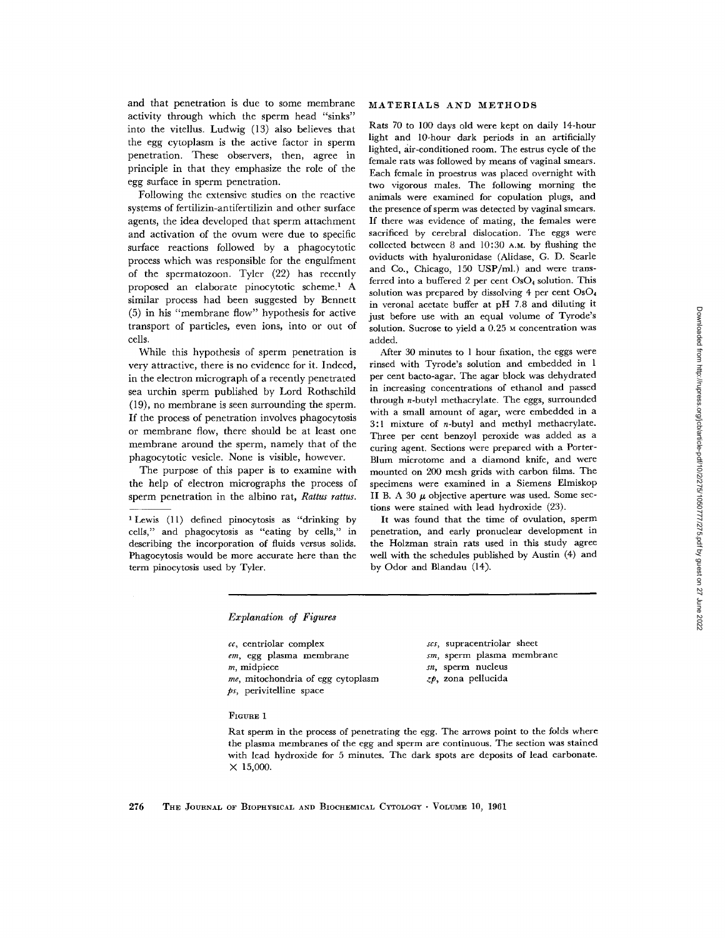and that penetration is due to some membrane activity through which the sperm head "sinks" into the vitellus. Ludwig (13) also believes that the egg cytoplasm is the active factor in sperm penetration. These observers, then, agree in principle in that they emphasize the role of the egg surface in sperm penetration.

Following the extensive studies on the reactive systems of fertilizin-antifertilizin and other surface agents, the idea developed that sperm attachment and activation of the ovum were due to specific surface reactions followed by a phagocytotic process which was responsible for the engulfment of the spermatozoon. Tyler (22) has recently proposed an elaborate pinocytotic scheme.<sup>1</sup> A similar process had been suggested by Bennett (5) in his "membrane flow" hypothesis for active transport of particles, even ions, into or out of cells.

While this hypothesis of sperm penetration is very attractive, there is no evidence for it. Indeed, in the electron micrograph of a recently penetrated sea urchin sperm published by Lord Rothschild (19), no membrane is seen surrounding the sperm. If the process of penetration involves phagocytosis or membrane flow, there should be at least one membrane around the sperm, namely that of the phagocytotic vesicle. None is visible, however.

The purpose of this paper is to examine with the help of electron micrographs the process of sperm penetration in the albino rat, *Rattus rattus.* 

1Lewis (11) defined pinocytosis as "drinking by cells," and phagocytosis as "eating by cells," in describing the incorporation of fluids versus solids. Phagocytosis would be more accurate here than the term pinocytosis used by Tyler.

# MATERIALS AND METHODS

Rats 70 to 100 days old were kept on daily 14-hour light and 10-hour dark periods in an artificially lighted, air-conditioned room. The estrus cycle of the female rats was followed by means of vaginal smears. Each female in proestrus was placed overnight with two vigorous males. The following morning the animals were examined for copulation plugs, and the presence of sperm was detected by vaginal smears. If there was evidence of mating, the females were sacrificed by cerebral dislocation. The eggs were collected between 8 and 10:30 A.M. by flushing the oviducts with hyaluronidase (Alidase, G. D. Searle and Co., Chicago, 150 USP/ml.) and were transferred into a buffered 2 per cent  $OsO<sub>4</sub>$  solution. This solution was prepared by dissolving 4 per cent  $OsO<sub>4</sub>$ in veronal acetate buffer at pH 7.8 and diluting it just before use with an equal volume of Tyrode's solution. Sucrose to yield a 0.25 M concentration was added.

After 30 minutes to 1 hour fixation, the eggs were rinsed with Tyrodc's solution and cmbedded in 1 per cent bacto-agar. The agar block was dehydrated in increasing conccntrations of ethanol and passed through n-butyl mcthacrylate. The eggs, surrounded with a small amount of agar, were embedded in a 3:1 mixture of n-butyl and methyl mcthacrylate. Three per cent benzoyl peroxide was added as a curing agent. Sections were prepared with a Porter-Blum mierotome and a diamond knife, and were mounted on 200 mesh grids with carbon films. The specimens were examined in a Siemens Elmiskop II B. A 30  $\mu$  objective aperture was used. Some sections were stained with lead hydroxide (23).

It was found that the time of ovulation, sperm penetration, and early pronuclear development in the Holzman strain rats used in this study agree well with the schedules published by Austin (4) and by Odor and Blandau (14).

*Explanation of Figures* 

*co,* centriolar complex *em,* egg plasma membrane m, midpiece *me,* mitochondria of egg cytoplasm *ps,* perivitelline space

- *scs,* supracentriolar sheet
- *sin,* sperm plasma membrane
- *sn,* sperm nucleus
- *zp,* zona pellucida

FIGURE **I** 

Rat sperm in the process of penetrating the egg. The arrows point to the folds where the plasma membranes of the egg and sperm are continuous. The section was stained with lead hydroxide for 5 minutes. The dark spots are deposits of lead carbonate.  $\times$  15,000.

276 THE JOURNAL OF BIOPHYSICAL AND BIOCHEMICAL CYTOLOGY · VOLUME 10, 1961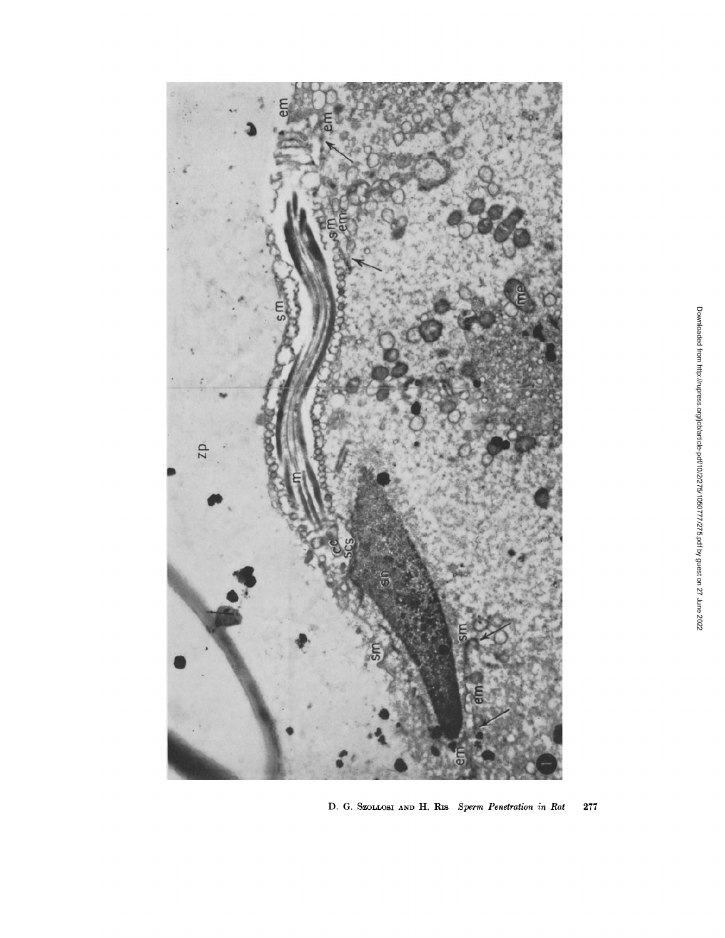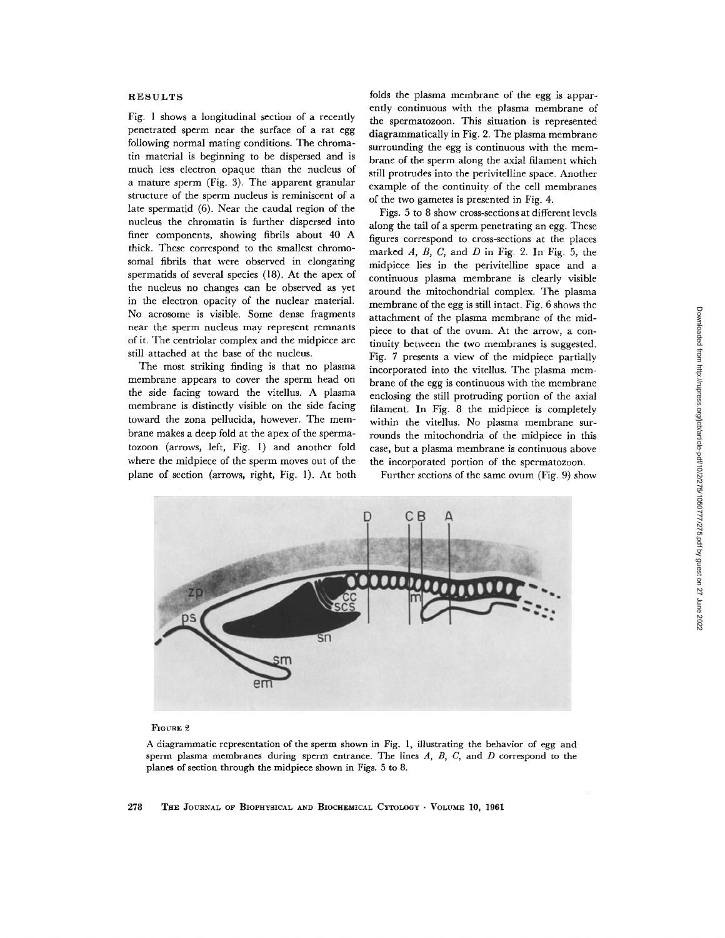# RESULTS

Fig. 1 shows a longitudinal section of a recently penetrated sperm near the surface of a rat egg following normal mating conditions. The chromatin material is beginning to be dispersed and is much less electron opaque than the nucleus of a mature sperm (Fig. 3). The apparent granular structure of the sperm nucleus is reminiscent of a late spermatid (6). Near the caudal region of the nucleus the chromatin is further dispersed into finer components, showing fibrils about 40 A thick. These correspond to the smallest chromosomal fibrils that were observed in elongating spermatids of several species (18). At the apex of the nucleus no changes can be observed as yet in the electron opacity of the nuclear material. No acrosomc is visible. Some dense fragments near the sperm nucleus may represent remnants of it. The centriolar complex and the midpiece are still attached at the base of the nucleus.

The most striking finding is that no plasma membrane appears to cover the sperm head on the side facing toward the vitellus. A plasma membrane is distinctly visible on the side facing toward the zona pellucida, however. The membrane makes a deep fold at the apex of the spermatozoon (arrows, left, Fig. 1) and another fold where the midpiece of the sperm moves out of the plane of section (arrows, right, Fig. 1). At both

folds the plasma membrane of the egg is apparently continuous with the plasma membrane of the spermatozoon. This situation is represented diagrammatically in Fig. 2. The plasma membrane surrounding the egg is continuous with the membrane of the sperm along the axial filament which still protrudes into the perivitelline space. Another example of the continuity of the cell membranes of the two gametes is presented in Fig. 4.

Figs. 5 to 8 show cross-sections at different levels along the tail of a sperm penetrating an egg. These figures correspond to cross-sections at the places marked  $A$ ,  $B$ ,  $C$ , and  $D$  in Fig. 2. In Fig. 5, the midpiece lies in the perivitelline space and a continuous plasma membrane is clearly visible around the mitochondrial complex. The plasma membrane of the egg is still intact. Fig. 6 shows the attachment of the plasma membrane of the midpiece to that of the ovum. At the arrow, a continuity between the two membranes is suggested. Fig. 7 presents a view of the midpiece partially incorporated into the vitellus. The plasma membrane of the egg is continuous with the membrane enclosing the still protruding portion of the axial filament. In Fig. 8 the midpiece is completely within the vitellus. No plasma membrane surrounds the mitochondria of the midpiece in this case, but a plasma membrane is continuous above the incorporated portion of the spermatozoon.

Further sections of the same ovum (Fig. 9) show



#### FIGURE 2

A diagrammatic representation of the sperm shown in Fig. l, illustrating the behavior of egg and sperm plasma membranes during sperm entrance. The lines  $A$ ,  $B$ ,  $C$ , and  $D$  correspond to the planes of section through the midpiece shown in Figs. 5 to 8.

278 THE JOURNAL OF BIOPHYSICAL AND BIOCHEMICAL CYTOLOGY · VOLUME 10, 1961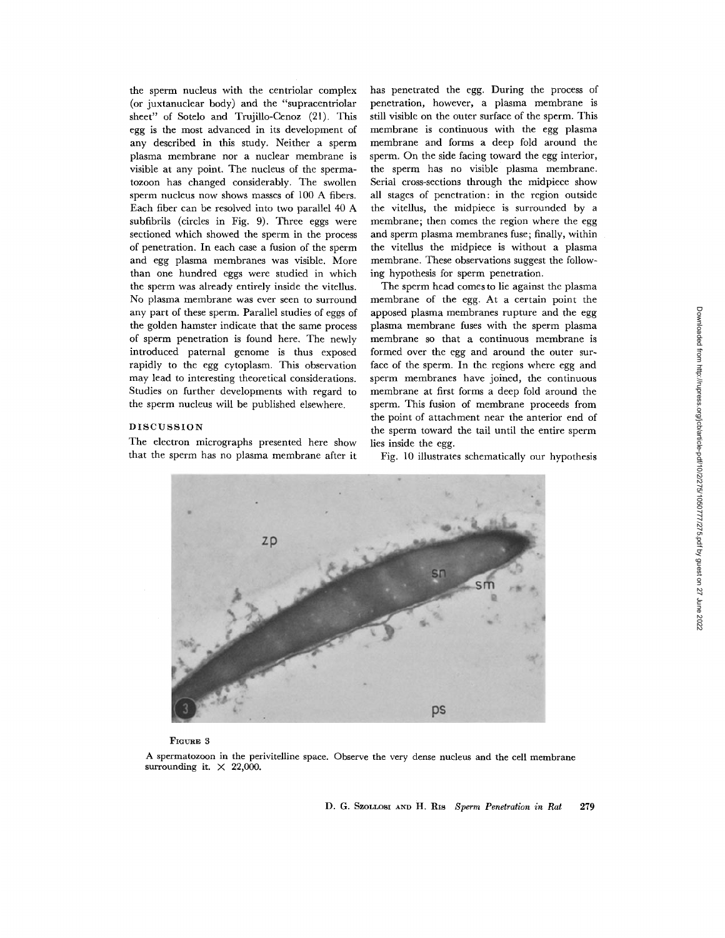the sperm nucleus with the centriolar complex (or juxtanuclear body) and the "supracentriolar sheet" of Sotelo and Trujillo-Cenoz (21). This egg is the most advanced in its development of any described in this study. Neither a sperm plasma membrane nor a nuclear membrane is visible at any point. The nucleus of the spermatozoon has changed considerably. The swollen sperm nucleus now shows masses of 100 A fibers. Each fiber can be resolved into two parallel 40 A subfibrils (circles in Fig. 9). Three eggs were sectioned which showed the sperm in the process of penetration. In each case a fusion of the sperm and egg plasma membranes was visible. More than one hundred eggs were studied in which the sperm was already entirely inside the vitellus. No plasma membrane was ever seen to surround any part of these sperm. Parallel studies of eggs of the golden hamster indicate that the same process of sperm penetration is found here. The newly introduced paternal genome is thus exposed rapidly to the egg cytoplasm. This observation may lead to interesting theoretical considerations. Studies on further developments with regard to the sperm nucleus will be published elsewhere.

## DISCUSSION

The electron micrographs presented here show that the sperm has no plasma membrane after it has penetrated the egg. During the process of penetration, however, a plasma membrane is still visible on the outer surface of the sperm. This membrane is continuous with the egg plasma membrane and forms a deep fold around the sperm. On the side facing toward the egg interior, the sperm has no visible plasma membrane. Serial cross-sections through the midpiece show all stages of penetration: in the region outside the vitellus, the midpiece is surrounded by a membrane; then comes the region where the egg and sperm plasma membranes fuse; finally, within the vitellus the midpiece is without a plasma membrane. These observations suggest the following hypothesis for sperm penetration.

The sperm head comes to lie against the plasma membrane of the egg. At a certain point the apposed plasma membranes rupture and the egg plasma membrane fuses with the sperm plasma membrane so that a continuous membrane is formed over the egg and around the outer surface of the sperm. In the regions where egg and sperm membranes have joined, the continuous membrane at first forms a deep fold around the sperm. This fusion of membrane proceeds from the point of attachment near the anterior end of the sperm toward the tail until the entire sperm lies inside the egg.

Fig. 10 illustrates schematically our hypothesis

ZD ps

### **FIGURE 3**

A spermatozoon in the perivitelline space. Observe the very dense nucleus and the cell membrane surrounding it.  $\times$  22,000.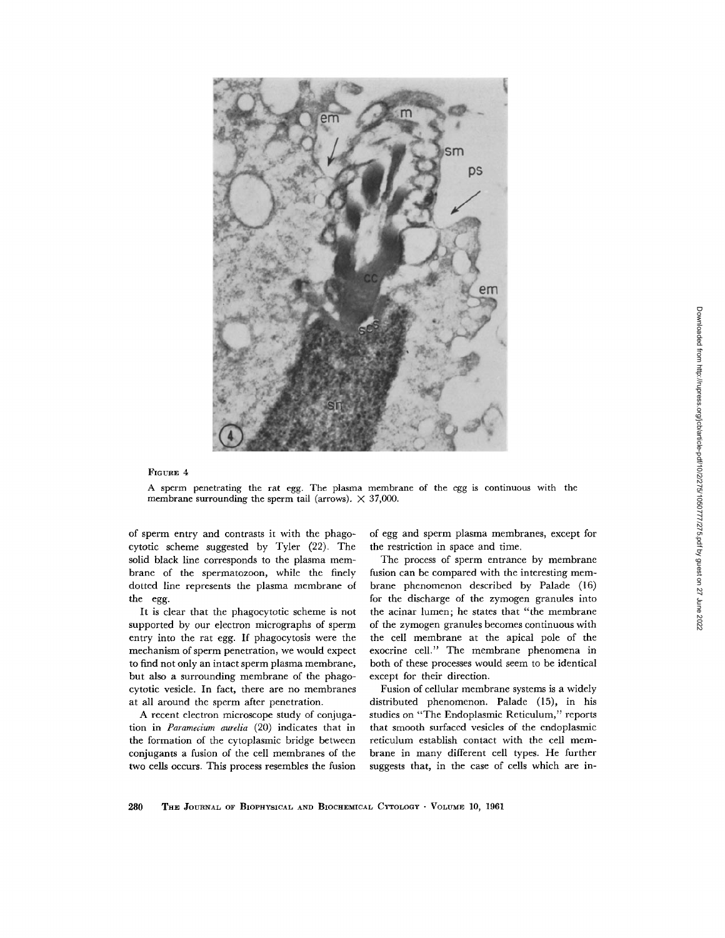

#### FIGURE 4

A sperm penetrating the rat egg. The plasma membrane of the egg is continuous with the membrane surrounding the sperm tail (arrows).  $\times$  37,000.

of sperm entry and contrasts it with the phagocytotic scheme suggested by Tyler (22). The solid black line corresponds to the plasma membrane of the spermatozoon, while the finely dotted line represents the plasma membrane of the egg.

It is clear that the phagocytotic scheme is not supported by our electron micrographs of sperm entry into the rat egg. If phagocytosis were the mechanism of sperm penetration, we would expect to find not only an intact sperm plasma membrane, but also a surrounding membrane of the phagocytotic vesicle. In fact, there are no membranes at all around the sperm after penetration.

A recent electron microscope study of conjugation in *Paramecium aurelia* (20) indicates that in the formation of the cytoplasmic bridge between conjugants a fusion of the cell membranes of the two cells occurs. This process resembles the fusion

of egg and sperm plasma membranes, except for the restriction in space and time.

The process of sperm entrance by membrane fusion can be compared with the interesting membrane phenomenon described by Palade (16) for the discharge of the zymogen granules into the acinar lumen; he states that "the membrane of the zymogen granules becomes continuous with the cell membrane at the apical pole of the exocrine cell." The membrane phenomena in both of these processes would seem to be identical except for their direction.

Fusion of cellular membrane systems is a widely distributed phenomenon. Palade (15), in his studies on "The Endoplasmic Reticulum," reports that smooth surfaced vesicles of the endoplasmic reticulum establish contact with the cell membrane in many different cell types. He further suggests that, in the case of cells which are in-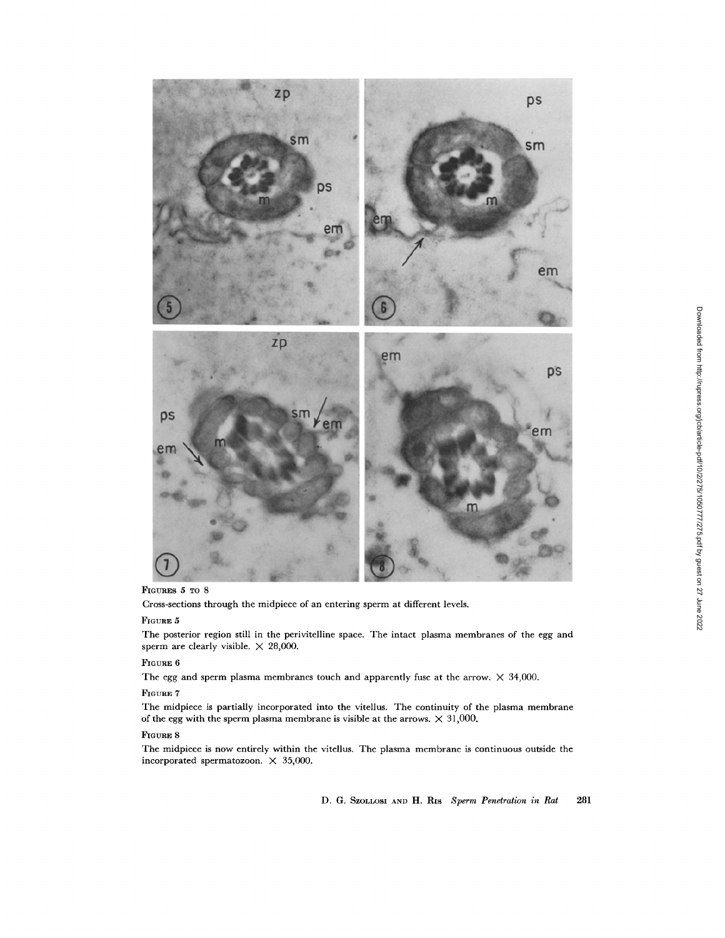

### FIGURES 5 TO 8

Cross-sections through the midpicce of an entering sperm at different levels.

FIGURE 5<br>The posterior region still in the perivitelline space. The intact plasma membranes of the egg and  $T_{\text{max}}$  region still in the postcribute space. The intact plasma membranes of the egg and  $s = \frac{1}{2}$ 

Figure 6.<br>S The egg and sperm plasma membranes touch and apparently fusc at the arrow. X 34,000.

FIGURE 7<br>The midpiece is partially incorporated into the vitellus. The continuity of the plasma membrane  $T_{\rm{th}}$  middle is partially incorporated into the vital  $T_{\rm{th}}$  and  $T_{\rm{th}}$  and  $T_{\rm{th}}$  and  $T_{\rm{th}}$  and  $T_{\rm{th}}$  and  $T_{\rm{th}}$  and  $T_{\rm{th}}$  and  $T_{\rm{th}}$  and  $T_{\rm{th}}$  and  $T_{\rm{th}}$  and  $T_{\rm{th}}$  and  $T_{\rm{th}}$ of thc egg with the spcrm plasma membrane is visible at the arrows. X 31,000.

FIGURE 8.  $T_{\text{t}}$  is now entirely within the viteles is plasma membrane is continuous outside the vital membrane is  $\frac{1}{2}$ incorporated spermatozoon.  $\times$  35,000.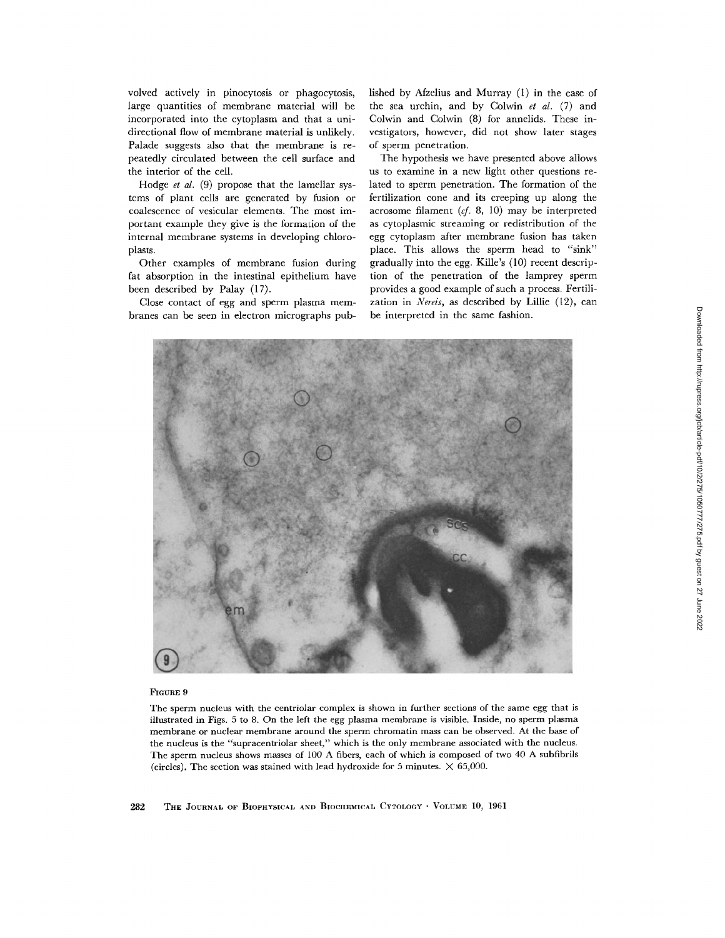volved actively in pinocytosis or phagocytosis, large quantities of membrane material will be incorporated into the cytoplasm and that a unidirectional flow of membrane material is unlikely. Palade suggests also that the membrane is repeatedly circulated between the cell surface and the interior of the cell.

Hodge *et al.* (9) propose that the lamellar systems of plant cells are generated by fusion or coalescence of vesicular elements. The most important example they give is the formation of the internal membrane systems in developing chloroplasts.

Other examples of membrane fusion during fat absorption in the intestinal epithelium have been described by Palay (17).

Close contact of egg and sperm plasma membranes can be seen in electron micrographs published by Afzelius and Murray (I) in the case of the sea urchin, and by Colwin *et al.* (7) and Colwin and Colwin (8) for annelids. These investigators, however, did not show later stages of sperm penetration.

The hypothesis we have presented above allows us to examine in a new light other questions related to sperm penetration. The formation of the fertilization cone and its creeping up along the acrosome filament  $(cf. 8, 10)$  may be interpreted as cytoplasmic streaming or redistribution of the egg cytoplasm after membrane fusion has taken place. This allows the sperm head to "sink" gradually into the egg. Kille's (10) recent description of the penetration of the lamprey sperm provides a good example of such a process. Fertilization in *Nereis,* as described by Lillie (12), can be interpreted in the same fashion.



### FIGURE **9**

The sperm nucleus with the centriolar complex is shown in further sections of the same egg that is illustrated in Figs. 5 to 8. On the left the egg plasma membrane is visible. Inside, no sperm plasma membrane or nuclear membrane around the sperm chromatin mass can be observed. At the base of the nucleus is the "supracentriolar sheet," which is the only membrane associated with the nucleus. The sperm nucleus shows masses of 100 A fibers, each of which is composed of two 40 A subfibrils (circles). The section was stained with lead hydroxide for 5 minutes.  $\times$  65,000.

282 THE JOURNAL OF BIOPHYSICAL AND BIOCHEMICAL CYTOLOGY • VOLUME 10, 1961